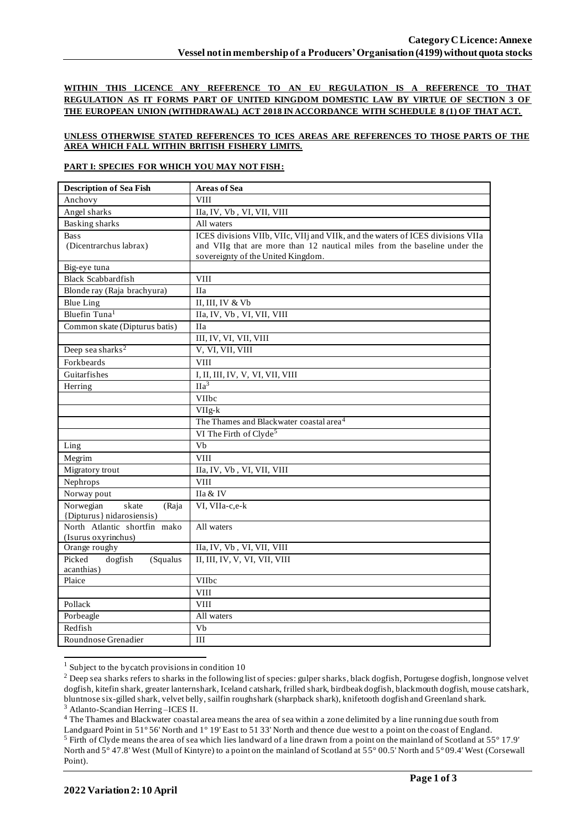**WITHIN THIS LICENCE ANY REFERENCE TO AN EU REGULATION IS A REFERENCE TO THAT REGULATION AS IT FORMS PART OF UNITED KINGDOM DOMESTIC LAW BY VIRTUE OF SECTION 3 OF THE EUROPEAN UNION (WITHDRAWAL) ACT 2018 IN ACCORDANCE WITH SCHEDULE 8 (1) OF THAT ACT.**

## **UNLESS OTHERWISE STATED REFERENCES TO ICES AREAS ARE REFERENCES TO THOSE PARTS OF THE AREA WHICH FALL WITHIN BRITISH FISHERY LIMITS.**

## **PART I: SPECIES FOR WHICH YOU MAY NOT FISH:**

| <b>Description of Sea Fish</b>              | <b>Areas of Sea</b>                                                             |
|---------------------------------------------|---------------------------------------------------------------------------------|
| Anchovy                                     | <b>VIII</b>                                                                     |
| Angel sharks                                | IIa, IV, Vb, VI, VII, VIII                                                      |
| <b>Basking sharks</b>                       | All waters                                                                      |
| <b>Bass</b>                                 | ICES divisions VIIb, VIIc, VIIj and VIIk, and the waters of ICES divisions VIIa |
| (Dicentrarchus labrax)                      | and VIIg that are more than 12 nautical miles from the baseline under the       |
|                                             | sovereignty of the United Kingdom.                                              |
| Big-eye tuna                                |                                                                                 |
| <b>Black Scabbardfish</b>                   | <b>VIII</b>                                                                     |
| Blonde ray (Raja brachyura)                 | <b>IIa</b>                                                                      |
| <b>Blue Ling</b>                            | II, III, IV & Vb                                                                |
| Bluefin Tuna <sup>1</sup>                   | IIa, IV, Vb, VI, VII, VIII                                                      |
| Common skate (Dipturus batis)               | <b>IIa</b>                                                                      |
|                                             | III, IV, VI, VII, VIII                                                          |
| Deep sea sharks <sup>2</sup>                | V, VI, VII, VIII                                                                |
| Forkbeards                                  | <b>VIII</b>                                                                     |
| Guitarfishes                                | I, II, III, IV, V, VI, VII, VIII                                                |
| Herring                                     | $\overline{Ha^3}$                                                               |
|                                             | VIIbc                                                                           |
|                                             | VIIg-k                                                                          |
|                                             | The Thames and Blackwater coastal area <sup>4</sup>                             |
|                                             | VI The Firth of Clyde <sup>5</sup>                                              |
| Ling                                        | $\overline{Vb}$                                                                 |
| Megrim                                      | <b>VIII</b>                                                                     |
| Migratory trout                             | IIa, IV, Vb, VI, VII, VIII                                                      |
| Nephrops                                    | <b>VIII</b>                                                                     |
| Norway pout                                 | IIa & IV                                                                        |
| Norwegian<br>skate<br>(Raja                 | VI, VIIa-c,e-k                                                                  |
| {Dipturus} nidarosiensis)                   |                                                                                 |
| North Atlantic shortfin mako                | All waters                                                                      |
| (Isurus oxyrinchus)                         |                                                                                 |
| Orange roughy                               | IIa, IV, Vb, VI, VII, VIII                                                      |
| Picked<br>dogfish<br>(Squalus<br>acanthias) | II, III, IV, V, VI, VII, VIII                                                   |
| Plaice                                      | VIIbc                                                                           |
|                                             | <b>VIII</b>                                                                     |
| Pollack                                     | <b>VIII</b>                                                                     |
| Porbeagle                                   | All waters                                                                      |
| Redfish                                     | Vb                                                                              |
| Roundnose Grenadier                         | III                                                                             |

 $1$  Subject to the bycatch provisions in condition 10

<sup>4</sup> The Thames and Blackwater coastal area means the area of sea within a zone delimited by a line running due south from

<sup>&</sup>lt;sup>2</sup> Deep sea sharks refers to sharks in the following list of species: gulper sharks, black dogfish, Portugese dogfish, longnose velvet dogfish, kitefin shark, greater lanternshark, Iceland catshark, frilled shark, birdbeak dogfish, blackmouth dogfish, mouse catshark, bluntnose six-gilled shark, velvet belly, sailfin roughshark (sharpback shark), knifetooth dogfish and Greenland shark. <sup>3</sup> Atlanto-Scandian Herring –ICES II.

Landguard Point in 51° 56' North and 1° 19' East to 51 33' North and thence due west to a point on the coast of England. <sup>5</sup> Firth of Clyde means the area of sea which lies landward of a line drawn from a point on the mainland of Scotland at 55° 17.9'

North and 5° 47.8' West (Mull of Kintyre) to a point on the mainland of Scotland at 55° 00.5' North and 5° 09.4' West (Corsewall Point).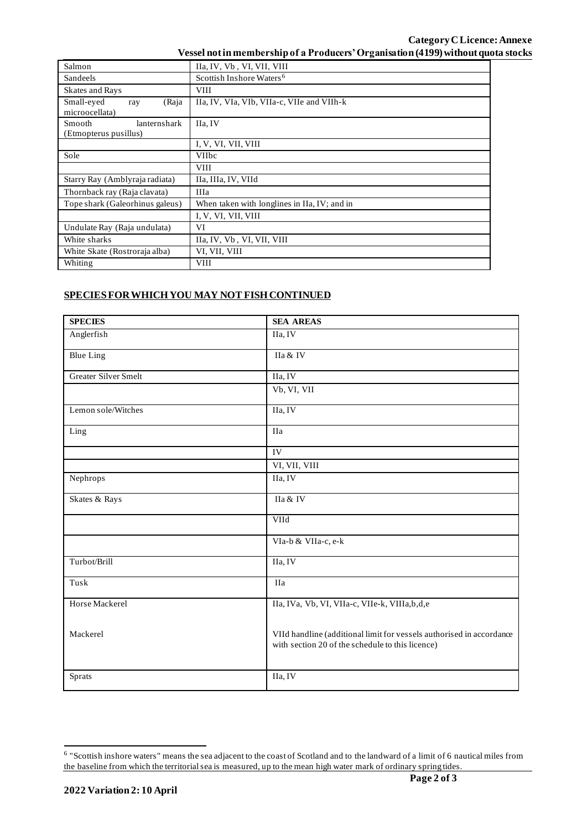| Vessel not in membership of a Producers' Organisation (4199) without quota stocks |
|-----------------------------------------------------------------------------------|
|-----------------------------------------------------------------------------------|

| Salmon                                                 | IIa, IV, Vb, VI, VII, VIII                   |  |
|--------------------------------------------------------|----------------------------------------------|--|
| <b>Sandeels</b>                                        | Scottish Inshore Waters <sup>6</sup>         |  |
| <b>Skates and Rays</b>                                 | <b>VIII</b>                                  |  |
| Small-eyed<br>(Raja<br>ray<br>microocellata)           | IIa, IV, VIa, VIb, VIIa-c, VIIe and VIIh-k   |  |
| lanternshark<br><b>Smooth</b><br>(Etmopterus pusillus) | IIa. IV                                      |  |
|                                                        | I, V, VI, VII, VIII                          |  |
| Sole                                                   | <b>VIIbc</b>                                 |  |
|                                                        | <b>VIII</b>                                  |  |
| Starry Ray (Amblyraja radiata)                         | IIa, IIIa, IV, VIId                          |  |
| Thornback ray (Raja clavata)                           | <b>IIIa</b>                                  |  |
| Tope shark (Galeorhinus galeus)                        | When taken with longlines in IIa, IV; and in |  |
|                                                        | I, V, VI, VII, VIII                          |  |
| Undulate Ray (Raja undulata)                           | VI                                           |  |
| White sharks                                           | IIa, IV, Vb, VI, VII, VIII                   |  |
| White Skate (Rostroraja alba)                          | VI, VII, VIII                                |  |
| Whiting                                                | <b>VIII</b>                                  |  |

## **SPECIES FOR WHICH YOU MAY NOT FISH CONTINUED**

| <b>SPECIES</b>              | <b>SEA AREAS</b>                                                                                                         |
|-----------------------------|--------------------------------------------------------------------------------------------------------------------------|
| Anglerfish                  | IIa, IV                                                                                                                  |
| <b>Blue Ling</b>            | IIa & IV                                                                                                                 |
| <b>Greater Silver Smelt</b> | IIa, IV                                                                                                                  |
|                             | Vb, VI, VII                                                                                                              |
| Lemon sole/Witches          | IIa, IV                                                                                                                  |
| Ling                        | <b>IIa</b>                                                                                                               |
|                             | IV                                                                                                                       |
|                             | VI, VII, VIII                                                                                                            |
| Nephrops                    | IIa, IV                                                                                                                  |
| Skates & Rays               | IIa & IV                                                                                                                 |
|                             | VIId                                                                                                                     |
|                             | VIa-b & VIIa-c, e-k                                                                                                      |
| Turbot/Brill                | IIa, IV                                                                                                                  |
| Tusk                        | <b>IIa</b>                                                                                                               |
| Horse Mackerel              | IIa, IVa, Vb, VI, VIIa-c, VIIe-k, VIIIa, b, d, e                                                                         |
| Mackerel                    | VIId handline (additional limit for vessels authorised in accordance<br>with section 20 of the schedule to this licence) |
| Sprats                      | IIa, IV                                                                                                                  |

<sup>&</sup>lt;sup>6</sup> "Scottish inshore waters" means the sea adjacent to the coast of Scotland and to the landward of a limit of 6 nautical miles from the baseline from which the territorial sea is measured, up to the mean high water mark of ordinary spring tides.